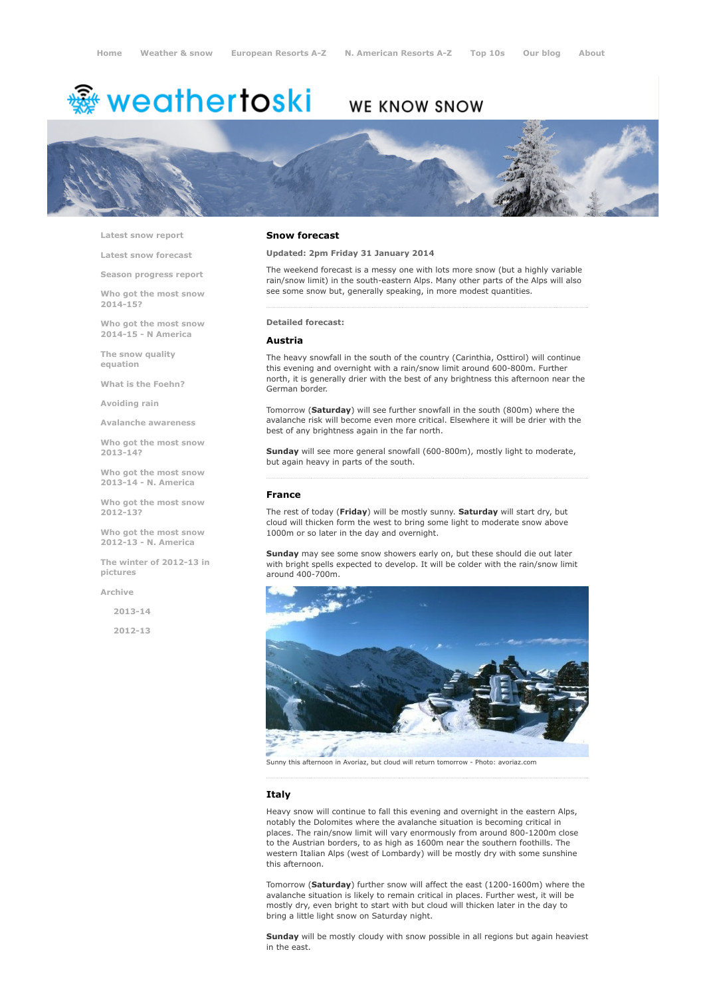# <sup>鑫</sup> weathertoski

## WE KNOW SNOW



Latest snow [report](http://www.weathertoski.co.uk/weather-snow/latest-snow-report/)

Latest snow [forecast](http://www.weathertoski.co.uk/weather-snow/latest-snow-forecast/)

Season [progress](http://www.weathertoski.co.uk/weather-snow/season-progress-report/) report

Who got the most snow 2014-15?

Who got the most snow 2014-15 - N America

The snow quality [equation](http://www.weathertoski.co.uk/weather-snow/the-snow-quality-equation/)

What is the [Foehn?](http://www.weathertoski.co.uk/weather-snow/what-is-the-foehn/)

[Avoiding](http://www.weathertoski.co.uk/weather-snow/avoiding-rain/) rain

Avalanche [awareness](http://www.weathertoski.co.uk/weather-snow/avalanche-awareness/)

Who got the most snow 2013-14?

Who got the most snow 2013-14 - N. America

Who got the most snow 2012-13?

Who got the most snow 2012-13 - N. America

The winter of 2012-13 in pictures

[Archive](http://www.weathertoski.co.uk/weather-snow/archive/)

2013-14

2012-13

#### Snow forecast

Updated: 2pm Friday 31 January 2014

The weekend forecast is a messy one with lots more snow (but a highly variable rain/snow limit) in the south-eastern Alps. Many other parts of the Alps will also see some snow but, generally speaking, in more modest quantities.

Detailed forecast:

#### Austria

The heavy snowfall in the south of the country (Carinthia, Osttirol) will continue this evening and overnight with a rain/snow limit around 600-800m. Further north, it is generally drier with the best of any brightness this afternoon near the German border.

Tomorrow (Saturday) will see further snowfall in the south (800m) where the avalanche risk will become even more critical. Elsewhere it will be drier with the best of any brightness again in the far north.

Sunday will see more general snowfall (600-800m), mostly light to moderate, but again heavy in parts of the south.

#### France

The rest of today (Friday) will be mostly sunny. Saturday will start dry, but cloud will thicken form the west to bring some light to moderate snow above 1000m or so later in the day and overnight.

Sunday may see some snow showers early on, but these should die out later with bright spells expected to develop. It will be colder with the rain/snow limit around 400-700m



Sunny this afternoon in Avoriaz, but cloud will return tomorrow Photo: avoriaz.com

#### Italy

Heavy snow will continue to fall this evening and overnight in the eastern Alps, notably the Dolomites where the avalanche situation is becoming critical in places. The rain/snow limit will vary enormously from around 800-1200m close to the Austrian borders, to as high as 1600m near the southern foothills. The western Italian Alps (west of Lombardy) will be mostly dry with some sunshine this afternoon.

Tomorrow (Saturday) further snow will affect the east (1200-1600m) where the avalanche situation is likely to remain critical in places. Further west, it will be mostly dry, even bright to start with but cloud will thicken later in the day to bring a little light snow on Saturday night.

Sunday will be mostly cloudy with snow possible in all regions but again heaviest in the east.